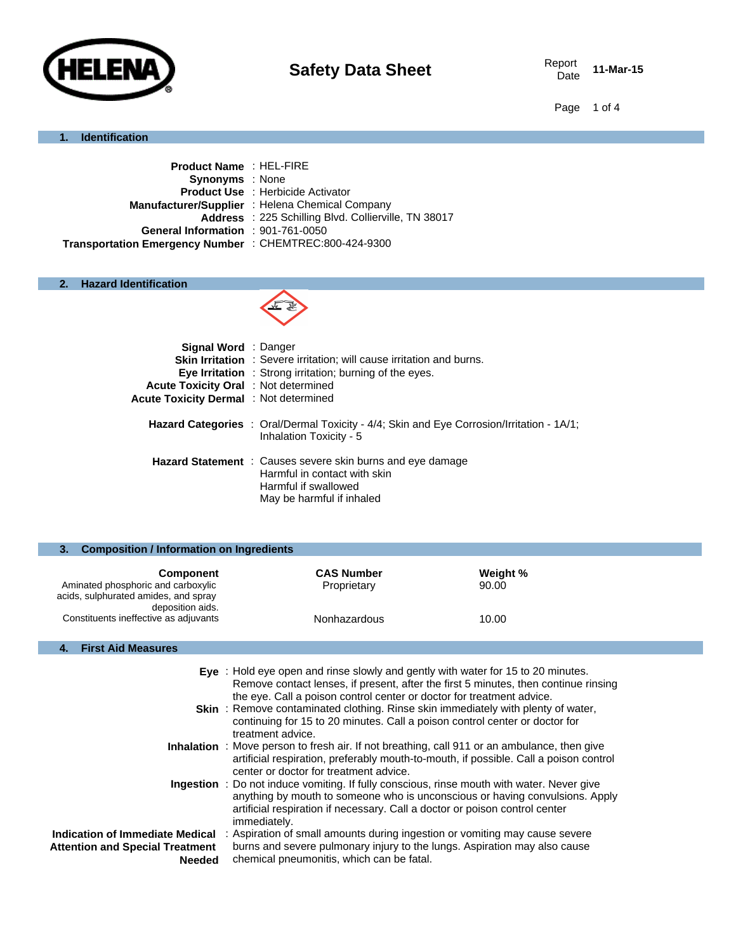

Date **11-Mar-15**

Page 1 of 4

## **1. Identification**

| <b>Product Name: HEL-FIRE</b>                           |                                                      |
|---------------------------------------------------------|------------------------------------------------------|
| <b>Synonyms</b> : None                                  |                                                      |
|                                                         | <b>Product Use : Herbicide Activator</b>             |
|                                                         | Manufacturer/Supplier : Helena Chemical Company      |
|                                                         | Address : 225 Schilling Blvd. Collierville, TN 38017 |
| General Information : 901-761-0050                      |                                                      |
| Transportation Emergency Number : CHEMTREC:800-424-9300 |                                                      |
|                                                         |                                                      |

## **2. Hazard Identification**



| <b>Signal Word</b> : Danger                   |                                                                                                                                                        |
|-----------------------------------------------|--------------------------------------------------------------------------------------------------------------------------------------------------------|
|                                               | <b>Skin Irritation</b> : Severe irritation; will cause irritation and burns.                                                                           |
|                                               | <b>Eye Irritation</b> : Strong irritation; burning of the eyes.                                                                                        |
| Acute Toxicity Oral : Not determined          |                                                                                                                                                        |
| <b>Acute Toxicity Dermal</b> : Not determined |                                                                                                                                                        |
|                                               | Hazard Categories : Oral/Dermal Toxicity - 4/4; Skin and Eye Corrosion/Irritation - 1A/1;<br>Inhalation Toxicity - 5                                   |
|                                               | <b>Hazard Statement</b> : Causes severe skin burns and eye damage<br>Harmful in contact with skin<br>Harmful if swallowed<br>May be harmful if inhaled |

| <b>Composition / Information on Ingredients</b>                                                |                                  |                   |  |
|------------------------------------------------------------------------------------------------|----------------------------------|-------------------|--|
| <b>Component</b><br>Aminated phosphoric and carboxylic<br>acids, sulphurated amides, and spray | <b>CAS Number</b><br>Proprietary | Weight %<br>90.00 |  |
| deposition aids.<br>Constituents ineffective as adjuvants                                      | Nonhazardous                     | 10.00             |  |

### **4. First Aid Measures**

|                                                         | Eye : Hold eye open and rinse slowly and gently with water for 15 to 20 minutes.<br>Remove contact lenses, if present, after the first 5 minutes, then continue rinsing<br>the eye. Call a poison control center or doctor for treatment advice.                          |
|---------------------------------------------------------|---------------------------------------------------------------------------------------------------------------------------------------------------------------------------------------------------------------------------------------------------------------------------|
|                                                         | <b>Skin</b> : Remove contaminated clothing. Rinse skin immediately with plenty of water,<br>continuing for 15 to 20 minutes. Call a poison control center or doctor for<br>treatment advice.                                                                              |
|                                                         | <b>Inhalation</b> : Move person to fresh air. If not breathing, call 911 or an ambulance, then give<br>artificial respiration, preferably mouth-to-mouth, if possible. Call a poison control<br>center or doctor for treatment advice.                                    |
|                                                         | Ingestion : Do not induce vomiting. If fully conscious, rinse mouth with water. Never give<br>anything by mouth to someone who is unconscious or having convulsions. Apply<br>artificial respiration if necessary. Call a doctor or poison control center<br>immediately. |
| Indication of Immediate Medical                         | : Aspiration of small amounts during ingestion or vomiting may cause severe                                                                                                                                                                                               |
| <b>Attention and Special Treatment</b><br><b>Needed</b> | burns and severe pulmonary injury to the lungs. Aspiration may also cause<br>chemical pneumonitis, which can be fatal.                                                                                                                                                    |
|                                                         |                                                                                                                                                                                                                                                                           |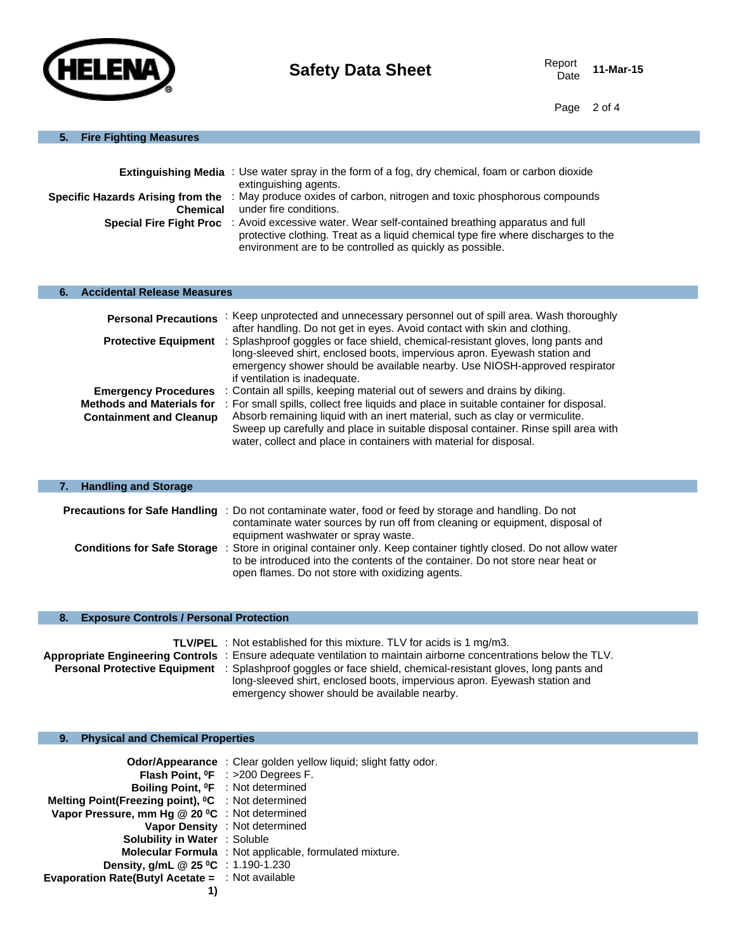

Date **11-Mar-15**

Page 2 of 4

### **5. Fire Fighting Measures**

|                                                      | <b>Extinguishing Media</b> : Use water spray in the form of a fog, dry chemical, foam or carbon dioxide<br>extinguishing agents.                                                                                           |
|------------------------------------------------------|----------------------------------------------------------------------------------------------------------------------------------------------------------------------------------------------------------------------------|
| Specific Hazards Arising from the<br><b>Chemical</b> | : May produce oxides of carbon, nitrogen and toxic phosphorous compounds<br>under fire conditions.                                                                                                                         |
| <b>Special Fire Fight Proc</b>                       | : Avoid excessive water. Wear self-contained breathing apparatus and full<br>protective clothing. Treat as a liquid chemical type fire where discharges to the<br>environment are to be controlled as quickly as possible. |

### **6. Accidental Release Measures**

h,

| <b>Personal Precautions</b>                                        | : Keep unprotected and unnecessary personnel out of spill area. Wash thoroughly<br>after handling. Do not get in eyes. Avoid contact with skin and clothing.                                                                                                                                                                       |
|--------------------------------------------------------------------|------------------------------------------------------------------------------------------------------------------------------------------------------------------------------------------------------------------------------------------------------------------------------------------------------------------------------------|
| <b>Protective Equipment</b>                                        | : Splashproof goggles or face shield, chemical-resistant gloves, long pants and<br>long-sleeved shirt, enclosed boots, impervious apron. Eyewash station and<br>emergency shower should be available nearby. Use NIOSH-approved respirator<br>if ventilation is inadequate.                                                        |
| <b>Emergency Procedures</b>                                        | : Contain all spills, keeping material out of sewers and drains by diking.                                                                                                                                                                                                                                                         |
| <b>Methods and Materials for</b><br><b>Containment and Cleanup</b> | : For small spills, collect free liquids and place in suitable container for disposal.<br>Absorb remaining liquid with an inert material, such as clay or vermiculite.<br>Sweep up carefully and place in suitable disposal container. Rinse spill area with<br>water, collect and place in containers with material for disposal. |

| <b>Handling and Storage</b>        |                                                                                                                                                                                                                                      |
|------------------------------------|--------------------------------------------------------------------------------------------------------------------------------------------------------------------------------------------------------------------------------------|
|                                    |                                                                                                                                                                                                                                      |
|                                    | <b>Precautions for Safe Handling</b> : Do not contaminate water, food or feed by storage and handling. Do not<br>contaminate water sources by run off from cleaning or equipment, disposal of<br>equipment washwater or spray waste. |
| <b>Conditions for Safe Storage</b> | : Store in original container only. Keep container tightly closed. Do not allow water<br>to be introduced into the contents of the container. Do not store near heat or<br>open flames. Do not store with oxidizing agents.          |

### **8. Exposure Controls / Personal Protection**

| <b>TLV/PEL</b> : Not established for this mixture. TLV for acids is 1 mg/m3.                                         |
|----------------------------------------------------------------------------------------------------------------------|
| Appropriate Engineering Controls : Ensure adequate ventilation to maintain airborne concentrations below the TLV.    |
| <b>Personal Protective Equipment</b> : Splashproof goggles or face shield, chemical-resistant gloves, long pants and |
| long-sleeved shirt, enclosed boots, impervious apron. Eyewash station and                                            |
| emergency shower should be available nearby.                                                                         |

## **9. Physical and Chemical Properties**

|                                                                | Odor/Appearance: Clear golden yellow liquid; slight fatty odor. |
|----------------------------------------------------------------|-----------------------------------------------------------------|
|                                                                | Flash Point, <sup>o</sup> F : >200 Degrees F.                   |
| Boiling Point, <sup>o</sup> F : Not determined                 |                                                                 |
| Melting Point(Freezing point), <sup>o</sup> C : Not determined |                                                                 |
| Vapor Pressure, mm Hg @ 20 °C : Not determined                 |                                                                 |
|                                                                | Vapor Density : Not determined                                  |
| Solubility in Water : Soluble                                  |                                                                 |
|                                                                | <b>Molecular Formula</b> : Not applicable, formulated mixture.  |
| Density, g/mL @ 25 °C : 1.190-1.230                            |                                                                 |
| <b>Evaporation Rate(Butyl Acetate = : Not available</b>        |                                                                 |
|                                                                |                                                                 |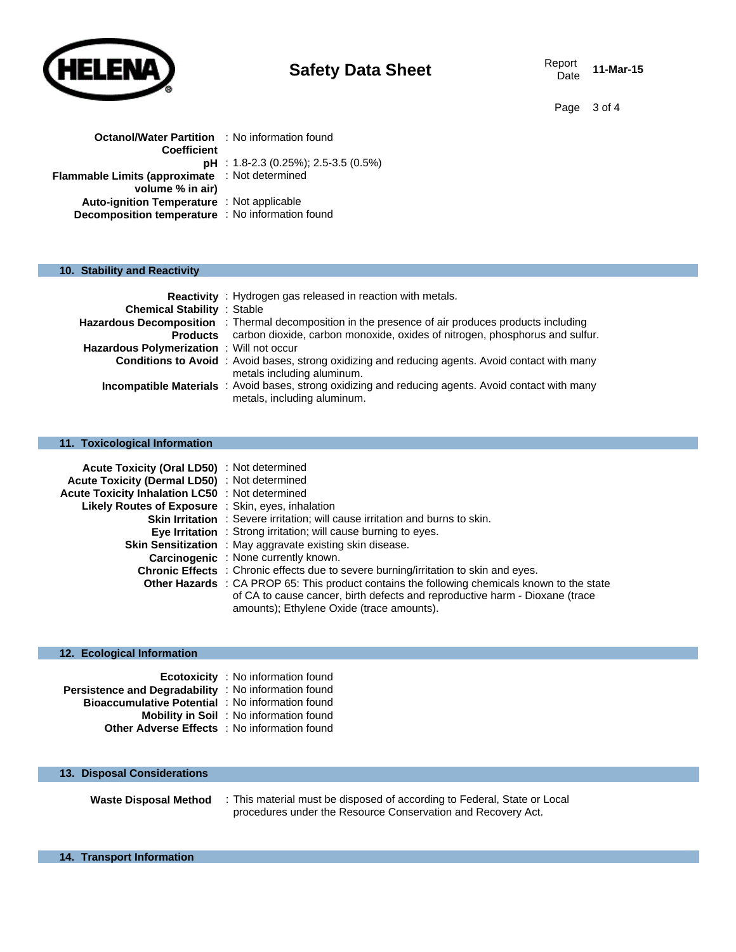

# **Safety Data Sheet** Report Report

11-Mar-15

Page 3 of 4

| <b>Octanol/Water Partition : No information found</b> |
|-------------------------------------------------------|
|                                                       |
| $pH$ : 1.8-2.3 (0.25%); 2.5-3.5 (0.5%)                |
| Flammable Limits (approximate : Not determined        |
|                                                       |
| <b>Auto-ignition Temperature</b> : Not applicable     |
| Decomposition temperature : No information found      |
|                                                       |

### **10. Stability and Reactivity**

| <b>Chemical Stability : Stable</b>       | Reactivity: Hydrogen gas released in reaction with metals.                                                                            |
|------------------------------------------|---------------------------------------------------------------------------------------------------------------------------------------|
|                                          | <b>Hazardous Decomposition</b> : Thermal decomposition in the presence of air produces products including                             |
|                                          | Products carbon dioxide, carbon monoxide, oxides of nitrogen, phosphorus and sulfur.                                                  |
| Hazardous Polymerization: Will not occur |                                                                                                                                       |
|                                          | <b>Conditions to Avoid</b> : Avoid bases, strong oxidizing and reducing agents. Avoid contact with many<br>metals including aluminum. |
|                                          | Incompatible Materials : Avoid bases, strong oxidizing and reducing agents. Avoid contact with many<br>metals, including aluminum.    |

### **11. Toxicological Information**

| <b>Acute Toxicity (Oral LD50)</b> : Not determined |                                                                                                                                                                                                                          |
|----------------------------------------------------|--------------------------------------------------------------------------------------------------------------------------------------------------------------------------------------------------------------------------|
| Acute Toxicity (Dermal LD50) : Not determined      |                                                                                                                                                                                                                          |
| Acute Toxicity Inhalation LC50 : Not determined    |                                                                                                                                                                                                                          |
| Likely Routes of Exposure : Skin, eyes, inhalation |                                                                                                                                                                                                                          |
|                                                    | <b>Skin Irritation</b> : Severe irritation; will cause irritation and burns to skin.                                                                                                                                     |
|                                                    | <b>Eye Irritation</b> : Strong irritation; will cause burning to eyes.                                                                                                                                                   |
|                                                    | <b>Skin Sensitization</b> : May aggravate existing skin disease.                                                                                                                                                         |
|                                                    | <b>Carcinogenic</b> : None currently known.                                                                                                                                                                              |
|                                                    | <b>Chronic Effects</b> : Chronic effects due to severe burning/irritation to skin and eyes.                                                                                                                              |
|                                                    | Other Hazards : CA PROP 65: This product contains the following chemicals known to the state<br>of CA to cause cancer, birth defects and reproductive harm - Dioxane (trace<br>amounts); Ethylene Oxide (trace amounts). |

#### **12. Ecological Information**

|                                                         | <b>Ecotoxicity</b> : No information found      |
|---------------------------------------------------------|------------------------------------------------|
| Persistence and Degradability : No information found    |                                                |
| <b>Bioaccumulative Potential</b> : No information found |                                                |
|                                                         | <b>Mobility in Soil</b> : No information found |
| <b>Other Adverse Effects</b> : No information found     |                                                |

### **13. Disposal Considerations**

**Waste Disposal Method** : This material must be disposed of according to Federal, State or Local procedures under the Resource Conservation and Recovery Act.